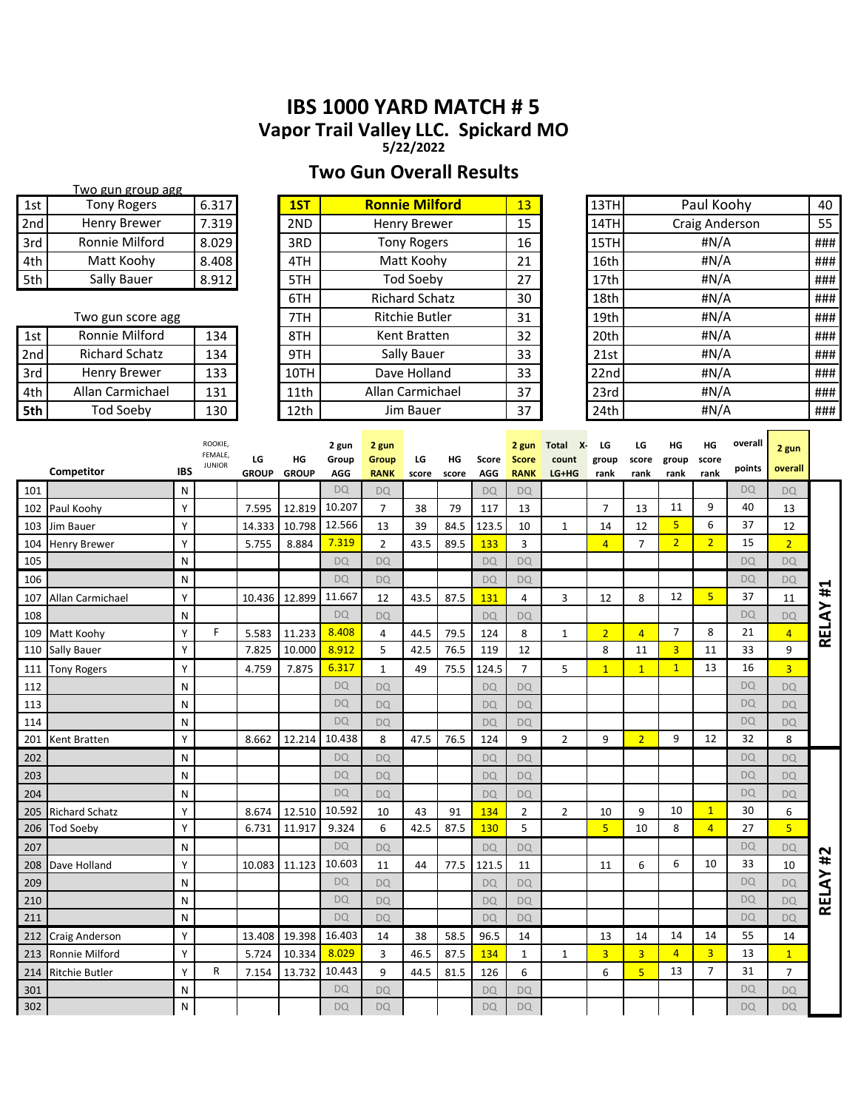# **IBS 1000 YARD MATCH # 5 Vapor Trail Valley LLC. Spickard MO**

**5/22/2022**

### **Two Gun Overall Results**

Two gun group agg

 $T_{\rm max}$ 

| 1st             | <b>Tony Rogers</b>    |            | 6.317              |                    | 1ST<br><b>Ronnie Milford</b><br>13 |                            |                            |                       |             |              | Paul Koohy<br>13TH<br>Craig Anderson |                       |                |                |                |                | 40              |                |              |
|-----------------|-----------------------|------------|--------------------|--------------------|------------------------------------|----------------------------|----------------------------|-----------------------|-------------|--------------|--------------------------------------|-----------------------|----------------|----------------|----------------|----------------|-----------------|----------------|--------------|
| 2 <sub>nd</sub> | <b>Henry Brewer</b>   |            | 7.319              |                    | 2ND                                |                            |                            | <b>Henry Brewer</b>   |             |              | 15                                   |                       | 14TH           |                |                |                |                 |                | 55           |
| 3rd             | Ronnie Milford        |            | 8.029              |                    | 3RD                                |                            |                            | <b>Tony Rogers</b>    |             |              | 16                                   |                       | 15TH           |                |                | #N/A           |                 |                | ###          |
| 4th             | Matt Koohy            |            | 8.408              |                    | 4TH                                |                            |                            | Matt Koohy            |             |              | 21                                   |                       | 16th           |                |                | #N/A           |                 |                | ###          |
| 5th             | <b>Sally Bauer</b>    |            | 8.912              |                    | 5TH                                |                            |                            | <b>Tod Soeby</b>      |             |              | 27                                   |                       | 17th           |                |                | #N/A           |                 |                | ###          |
|                 |                       |            |                    |                    | 6TH                                |                            |                            | <b>Richard Schatz</b> |             |              | 30                                   |                       | 18th           |                |                | #N/A           |                 |                | ###          |
|                 | Two gun score agg     |            |                    |                    | 7TH                                |                            |                            | <b>Ritchie Butler</b> |             |              | 31                                   |                       | 19th           |                |                | #N/A           |                 |                | ###          |
| 1st             | Ronnie Milford        |            | 134                |                    | 8TH                                |                            |                            | Kent Bratten          |             |              | 32                                   |                       | 20th           |                |                | #N/A           |                 |                | ###          |
| 2nd             | <b>Richard Schatz</b> |            | 134                |                    | 9TH                                |                            |                            | Sally Bauer           |             |              | 33                                   |                       | 21st           |                |                | #N/A           |                 |                | ###          |
| 3rd             | <b>Henry Brewer</b>   |            | 133                |                    | 10TH                               |                            |                            | Dave Holland          |             |              | 33                                   |                       | 22nd           |                |                | #N/A           |                 |                | ###          |
| 4th             | Allan Carmichael      |            | 131                |                    | 11th                               |                            | Allan Carmichael           |                       |             |              | 37                                   |                       | 23rd           |                |                | #N/A           |                 |                | ###          |
| 5th             | <b>Tod Soeby</b>      |            | 130                |                    | 12th                               |                            |                            | Jim Bauer             |             |              | 37                                   |                       | 24th           |                |                | #N/A           |                 |                | ###          |
|                 |                       |            |                    |                    |                                    |                            |                            |                       |             |              |                                      |                       |                |                |                |                |                 |                |              |
|                 |                       |            | ROOKIE,<br>FEMALE, |                    |                                    | 2 gun                      | 2 gun                      |                       |             |              | 2 gun                                | <b>Total</b><br>$X -$ | LG             | LG             | HG             | HG             | overall         | 2 gun          |              |
|                 | Competitor            | <b>IBS</b> | <b>JUNIOR</b>      | LG<br><b>GROUP</b> | HG<br><b>GROUP</b>                 | Group<br>AGG               | Group<br><b>RANK</b>       | LG<br>score           | HG<br>score | Score<br>AGG | <b>Score</b><br><b>RANK</b>          | count<br>LG+HG        | group<br>rank  | score<br>rank  | group<br>rank  | score<br>rank  | points          | overall        |              |
| 101             |                       | N          |                    |                    |                                    | <b>DQ</b>                  | <b>DQ</b>                  |                       |             | <b>DQ</b>    | <b>DQ</b>                            |                       |                |                |                |                | <b>DQ</b>       | <b>DQ</b>      |              |
| 102             | Paul Koohy            | Υ          |                    | 7.595              | 12.819                             | 10.207                     | $\overline{7}$             | 38                    | 79          | 117          | 13                                   |                       | $\overline{7}$ | 13             | 11             | 9              | 40              | 13             |              |
| 103             | Jim Bauer             | Υ          |                    | 14.333             | 10.798                             | 12.566                     | 13                         | 39                    | 84.5        | 123.5        | 10                                   | 1                     | 14             | 12             | $\overline{5}$ | 6              | 37              | 12             |              |
| 104             | Henry Brewer          | Y          |                    | 5.755              | 8.884                              | 7.319                      | $\overline{2}$             | 43.5                  | 89.5        | 133          | $\overline{3}$                       |                       | $\overline{4}$ | $\overline{7}$ | 2 <sup>2</sup> | $\overline{2}$ | 15              | $\overline{2}$ |              |
| 105             |                       | N          |                    |                    |                                    | <b>DQ</b>                  | <b>DQ</b>                  |                       |             | <b>DQ</b>    | <b>DQ</b>                            |                       |                |                |                |                | <b>DQ</b>       | <b>DQ</b>      |              |
| 106             |                       | N          |                    |                    |                                    | <b>DQ</b>                  | <b>DQ</b>                  |                       |             | <b>DQ</b>    | <b>DQ</b>                            |                       |                |                |                |                | <b>DQ</b>       | <b>DQ</b>      |              |
| 107             | Allan Carmichael      | Y          |                    |                    | 10.436 12.899                      | 11.667                     | 12                         | 43.5                  | 87.5        | 131          | $\overline{4}$                       | 3                     | 12             | 8              | 12             | $\overline{5}$ | 37              | 11             | #1           |
| 108             |                       | N          |                    |                    |                                    | <b>DQ</b>                  | <b>DQ</b>                  |                       |             | <b>DQ</b>    | <b>DQ</b>                            |                       |                |                |                |                | <b>DQ</b>       | <b>DQ</b>      | <b>RELAY</b> |
| 109             | Matt Koohy            | Y          | F                  | 5.583              | 11.233                             | 8.408                      | $\overline{4}$             | 44.5                  | 79.5        | 124          | 8                                    | $\mathbf{1}$          | $\overline{2}$ | $\overline{4}$ | $\overline{7}$ | 8              | 21              | $\overline{4}$ |              |
| 110             | Sally Bauer           | Υ          |                    | 7.825              | 10.000                             | 8.912                      | 5                          | 42.5                  | 76.5        | 119          | 12                                   |                       | 8              | 11             | $\overline{3}$ | 11             | 33              | 9              |              |
| 111             | <b>Tony Rogers</b>    | Y          |                    | 4.759              | 7.875                              | 6.317                      | $\mathbf{1}$               | 49                    | 75.5        | 124.5        | $\overline{7}$                       | 5                     | $\mathbf{1}$   | $\overline{1}$ | 1              | 13             | 16              | $\overline{3}$ |              |
| 112             |                       | N          |                    |                    |                                    | <b>DQ</b>                  | <b>DQ</b>                  |                       |             | <b>DQ</b>    | <b>DQ</b>                            |                       |                |                |                |                | <b>DQ</b>       | <b>DQ</b>      |              |
| 113             |                       | N          |                    |                    |                                    | <b>DQ</b>                  | <b>DQ</b>                  |                       |             | <b>DQ</b>    | <b>DQ</b>                            |                       |                |                |                |                | <b>DQ</b>       | <b>DQ</b>      |              |
| 114             |                       | N          |                    |                    |                                    | <b>DQ</b>                  | <b>DQ</b>                  |                       |             | <b>DQ</b>    | <b>DQ</b>                            |                       |                |                |                |                | <b>DQ</b>       | <b>DQ</b>      |              |
| 201             | Kent Bratten          | Y          |                    | 8.662              | 12.214                             | 10.438                     | 8                          | 47.5                  | 76.5        | 124          | 9                                    | $\overline{2}$        | 9              | $\overline{2}$ | 9              | 12             | 32              | 8              |              |
| 202             |                       | N          |                    |                    |                                    | <b>DQ</b>                  | <b>DQ</b>                  |                       |             | <b>DQ</b>    | <b>DQ</b>                            |                       |                |                |                |                | <b>DQ</b>       | <b>DQ</b>      |              |
| 203             |                       | N          |                    |                    |                                    | <b>DQ</b>                  | <b>DQ</b>                  |                       |             | <b>DQ</b>    | <b>DQ</b>                            |                       |                |                |                |                | <b>DQ</b>       | <b>DQ</b>      |              |
| 204             |                       | N          |                    |                    |                                    | <b>DQ</b>                  | <b>DQ</b>                  |                       |             | <b>DQ</b>    | <b>DQ</b>                            |                       |                |                |                |                | <b>DQ</b>       | <b>DQ</b>      |              |
| 205             | <b>Richard Schatz</b> | Υ          |                    | 8.674              | 12.510                             | 10.592                     | 10                         | 43                    | 91          | 134          | $\overline{2}$                       | $\overline{2}$        | 10             | 9              | 10             | $\mathbf{1}$   | 30              | 6              |              |
| 206             | <b>Tod Soeby</b>      | Y          |                    | 6.731              | 11.917                             | 9.324                      | 6                          | 42.5                  | 87.5        | 130          | 5                                    |                       | $\overline{5}$ | 10             | 8              | $\overline{4}$ | 27              | $\overline{5}$ |              |
| 207             |                       | N          |                    |                    |                                    | <b>DQ</b>                  | <b>DQ</b>                  |                       |             | <b>DQ</b>    | <b>DQ</b>                            |                       |                |                | 6              | 10             | <b>DQ</b>       | <b>DQ</b>      | #2           |
| 208             | Dave Holland          | Y          |                    | 10.083             | 11.123                             | 10.603<br><b>DQ</b>        | 11                         | 44                    | 77.5        | 121.5        | 11                                   |                       | 11             | 6              |                |                | 33<br><b>DQ</b> | 10             |              |
| 209             |                       | N          |                    |                    |                                    |                            | <b>DQ</b>                  |                       |             | <b>DQ</b>    | <b>DQ</b>                            |                       |                |                |                |                | <b>DQ</b>       | <b>DQ</b>      | RELAY        |
| 210<br>         |                       | N          |                    |                    |                                    | <b>DQ</b><br>$\sim$ $\sim$ | <b>DQ</b><br>$\sim$ $\sim$ |                       |             | <b>DQ</b>    | <b>DQ</b>                            |                       |                |                |                |                |                 | <b>DQ</b>      |              |

211 N N DQ DQ DQ DQ DQ DQ N DQ DQ DQ 212 Craig Anderson Y 13.408 19.398 16.403 14 38 58.5 96.5 14 13 14 14 14 55 14 213 Ronnie Milford | Y | 5.724 | 10.334 <mark>8.029</mark> 3 | 46.5 | 87.5 | 134 | 1 | 1 | 3 | 3 | 4 | 3 | 13 | 1 214 Ritchie Butler Y R 7.154 13.732 10.443 9 44.5 81.5 126 6 6 6 5 13 7 31 7 301 N N DQ DQ DQ DQ DQ N DQ DQ DQ 302 N N DQ DQ DQ DQ DQ DQ N DQ DQ DQ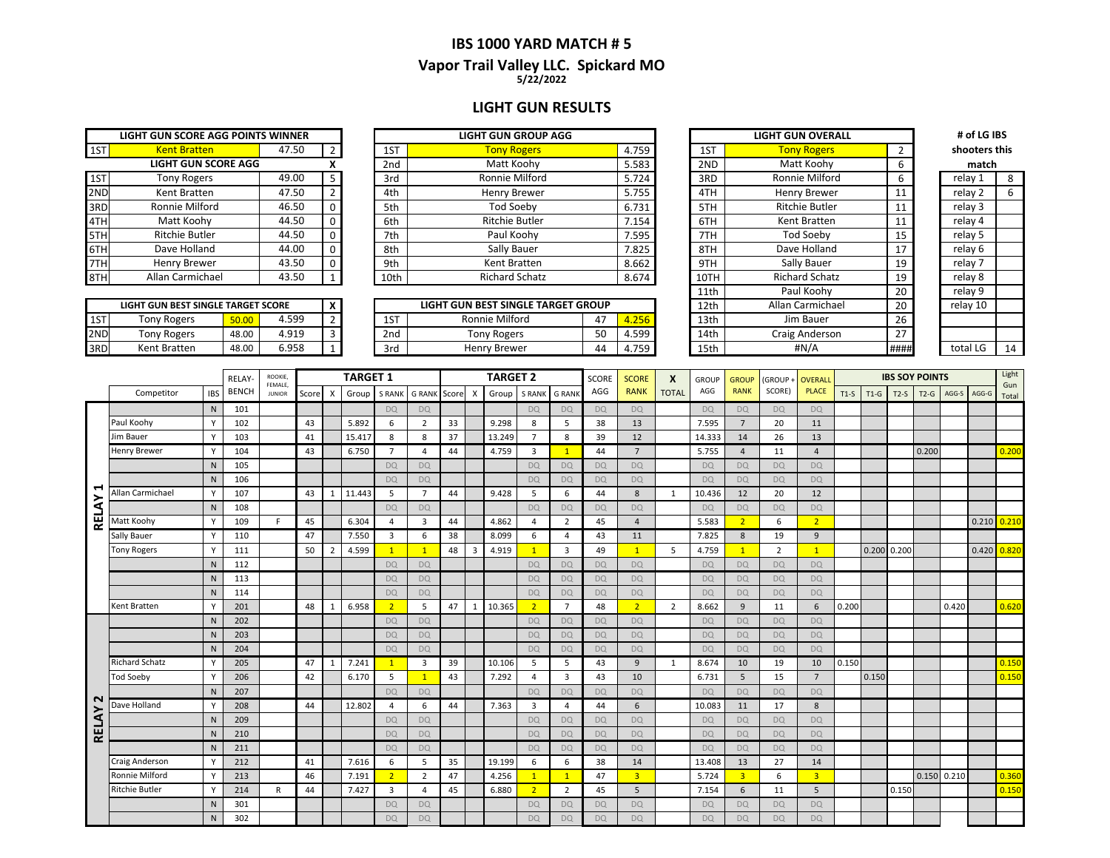#### **IBS 1000 YARD MATCH # 5 5/22/2022 Vapor Trail Valley LLC. Spickard MO**

### **LIGHT GUN RESULTS**

|     | LIGHT GUN SCORE AGG POINTS WINNER |       |              |                 | <b>LIGHT GUN GROUP AGG</b> |
|-----|-----------------------------------|-------|--------------|-----------------|----------------------------|
| 1ST | <b>Kent Bratten</b>               | 47.50 | 2            | 1ST             | <b>Tony Rogers</b>         |
|     | <b>LIGHT GUN SCORE AGG</b>        |       | χ            | 2 <sub>nd</sub> | Matt Koohy                 |
| 1ST | <b>Tony Rogers</b>                | 49.00 | 5            | 3rd             | Ronnie Milford             |
| 2ND | Kent Bratten                      | 47.50 | 2            | 4th             | <b>Henry Brewer</b>        |
| 3RD | Ronnie Milford                    | 46.50 | $\Omega$     | 5th             | <b>Tod Soeby</b>           |
| 4TH | Matt Koohy                        | 44.50 | $\Omega$     | 6th             | <b>Ritchie Butler</b>      |
| 5TH | <b>Ritchie Butler</b>             | 44.50 | $\mathbf 0$  | 7th             | Paul Koohy                 |
| 6TH | Dave Holland                      | 44.00 | $\Omega$     | 8th             | Sally Bauer                |
| 7TH | Henry Brewer                      | 43.50 | $\Omega$     | 9th             | Kent Bratten               |
| 8TH | Allan Carmichael                  | 43.50 | $\mathbf{1}$ | 10th            | <b>Richard Schatz</b>      |

|     | LIGHT GUN BEST SINGLE TARGET SCORE |       |       |   |
|-----|------------------------------------|-------|-------|---|
| 1ST | <b>Tony Rogers</b>                 | 50.00 | 4.599 |   |
| 2ND | <b>Tony Rogers</b>                 | 48.00 | 4.919 | 3 |
| 3RD | Kent Bratten                       | 48.00 | 6.958 |   |

|     | LIGHT GUN SCORE AGG POINTS WINNER |       |  |                 | <b>LIGHT GUN GROUP AGG</b> |       |      | <b>LIGHT GUN OVERALL</b> |    | # of LG IBS   |  |
|-----|-----------------------------------|-------|--|-----------------|----------------------------|-------|------|--------------------------|----|---------------|--|
| 1ST | <b>Kent Bratten</b>               | 47.50 |  | 1ST             | <b>Tony Rogers</b>         | 4.759 | 1ST  | <b>Tony Rogers</b>       |    | shooters this |  |
|     | <b>LIGHT GUN SCORE AGG</b>        |       |  | 2 <sub>nd</sub> | Matt Koohy                 | 5.583 | 2ND  | Matt Koohy               |    | match         |  |
| 1ST | Tony Rogers                       | 49.00 |  | 3rd             | Ronnie Milford             | 5.724 | 3RD  | Ronnie Milford           |    | relay 1       |  |
| 2ND | Kent Bratten                      | 47.50 |  | 4th             | Henry Brewer               | 5.755 | 4TH  | Henry Brewer             |    | relay 2       |  |
| 3RD | Ronnie Milford                    | 46.50 |  | 5th             | Tod Soeby                  | 6.731 | 5TH  | Ritchie Butler           |    | relay 3       |  |
| 4TH | Matt Koohy                        | 44.50 |  | 6th             | <b>Ritchie Butler</b>      | 7.154 | 6TH  | Kent Bratten             |    | relay 4       |  |
| 5TH | <b>Ritchie Butler</b>             | 44.50 |  | 7th             | Paul Koohy                 | 7.595 | 7TH  | Tod Soeby                | 15 | relay 5       |  |
| 6TH | Dave Holland                      | 44.00 |  | 8th             | Sally Bauer                | 7.825 | 8TH  | Dave Holland             | 17 | relay 6       |  |
| 7TH | Henry Brewer                      | 43.50 |  | 9th             | Kent Bratten               | 8.662 | 9TH  | Sally Bauer              | 19 | relav 7       |  |
| 8TH | Allan Carmichael                  | 43.50 |  | 10th            | <b>Richard Schatz</b>      | 8.674 | 10TH | <b>Richard Schatz</b>    | 19 | relay 8       |  |
|     |                                   |       |  |                 |                            |       |      |                          |    |               |  |

|     | LIGHT GUN BEST SINGLE TARGET SCORE |       |       |  |  | LIGHT GUN BEST SINGLE TARGET GROUP |                |    |                   |  | 12th | Allan Carmichael | $\sim$<br>ŽŪ  | relay 10 |    |
|-----|------------------------------------|-------|-------|--|--|------------------------------------|----------------|----|-------------------|--|------|------------------|---------------|----------|----|
| 1ST | Tony Rogers                        |       | .599  |  |  | 1CT<br>⊥ບ                          | Ronnie Milford |    | 4.25 <sup>F</sup> |  | 13th | Jim Bauer        |               |          |    |
| 2ND | Tony Rogers                        | 48.00 | 4.919 |  |  | 2nd                                | Tony Rogers    | EΩ | 4.599             |  | 14th | Craig Anderson   | $\sim$ $\sim$ |          |    |
| 3RD | Kent Bratten                       | 48.00 | 6.958 |  |  | 3rd                                | Henry Brewer   |    | 4.759             |  | 15th | #N/A             | ####          | total LC | 14 |

|                  | <b>LIGHT GUN OVERALL</b> |      | # of LG IBS   |    |
|------------------|--------------------------|------|---------------|----|
|                  |                          |      |               |    |
| 1ST              | <b>Tony Rogers</b>       | 2    | shooters this |    |
| 2ND              | Matt Koohy               | 6    | match         |    |
| 3RD              | Ronnie Milford           | 6    | relay 1       | 8  |
| 4TH              | Henry Brewer             | 11   | relay 2       | 6  |
| 5TH              | <b>Ritchie Butler</b>    | 11   | relay 3       |    |
| 6TH              | Kent Bratten             | 11   | relay 4       |    |
| 7TH              | Tod Soeby                | 15   | relay 5       |    |
| 8TH              | Dave Holland             | 17   | relay 6       |    |
| 9TH              | Sally Bauer              | 19   | relay 7       |    |
| 10TH             | <b>Richard Schatz</b>    | 19   | relay 8       |    |
| 11th             | Paul Koohy               | 20   | relay 9       |    |
| 12th             | Allan Carmichael         | 20   | relay 10      |    |
| 13 <sub>th</sub> | Jim Bauer                | 26   |               |    |
| 14th             | Craig Anderson           | 27   |               |    |
| 15th             | #N/A                     | #### | total LG      | 14 |

| shooters this |    |
|---------------|----|
| match         |    |
| relay 1       | 8  |
| relay 2       | 6  |
| relay 3       |    |
| relay 4       |    |
| relay 5       |    |
| relay 6       |    |
| relay 7       |    |
| relay 8       |    |
| relay 9       |    |
| relay 10      |    |
|               |    |
|               |    |
| total LG      | 14 |
|               |    |

|              |                       |                | RELAY        | ROOKIE.<br>FEMALE. |       |                           | <b>TARGET 1</b> |                |                    |    |              | <b>TARGET 2</b> |                |                | <b>SCORE</b> | <b>SCORE</b>   | X              | <b>GROUP</b> | <b>GROUP</b>   | (GROUP    | <b>OVERALL</b>  |       |               | <b>IBS SOY POINTS</b> |        |               |       | Light        |
|--------------|-----------------------|----------------|--------------|--------------------|-------|---------------------------|-----------------|----------------|--------------------|----|--------------|-----------------|----------------|----------------|--------------|----------------|----------------|--------------|----------------|-----------|-----------------|-------|---------------|-----------------------|--------|---------------|-------|--------------|
|              | Competitor            | IBS            | <b>BENCH</b> | <b>JUNIOR</b>      | Score | $\boldsymbol{\mathsf{X}}$ | Group           | <b>S RANK</b>  | <b>GRANK</b> Score |    | X            | Group           | S RANK         | <b>G RANK</b>  | AGG          | <b>RANK</b>    | <b>TOTAL</b>   | AGG          | <b>RANK</b>    | SCORE)    | <b>PLACE</b>    |       | $T1-S$ $T1-G$ | $T2-S$                | $T2-G$ | AGG-S         | AGG-G | Gun<br>Total |
|              |                       | N.             | 101          |                    |       |                           |                 | <b>DO</b>      | DQ                 |    |              |                 | DQ             | <b>DO</b>      | <b>DO</b>    | <b>DQ</b>      |                | <b>DQ</b>    | <b>DQ</b>      | <b>DQ</b> | <b>DO</b>       |       |               |                       |        |               |       |              |
|              | Paul Koohy            |                | 102          |                    | 43    |                           | 5.892           | 6              | $\overline{2}$     | 33 |              | 9.298           | 8              | 5              | 38           | 13             |                | 7.595        | $\overline{7}$ | 20        | 11              |       |               |                       |        |               |       |              |
|              | Jim Bauer             | Y              | 103          |                    | 41    |                           | 15.417          | 8              | 8                  | 37 |              | 13.249          | $\overline{7}$ | 8              | 39           | 12             |                | 14.333       | 14             | 26        | 13              |       |               |                       |        |               |       |              |
|              | <b>Henry Brewer</b>   | Y              | 104          |                    | 43    |                           | 6.750           | $\overline{7}$ | $\overline{4}$     | 44 |              | 4.759           | $\overline{3}$ | $\mathbf{1}$   | 44           | $\overline{7}$ |                | 5.755        | $\overline{4}$ | 11        | $\overline{4}$  |       |               |                       | 0.200  |               |       | 0.200        |
|              |                       | N              | 105          |                    |       |                           |                 | <b>DQ</b>      | <b>DQ</b>          |    |              |                 | <b>DQ</b>      | <b>DQ</b>      | <b>DQ</b>    | <b>DQ</b>      |                | <b>DQ</b>    | <b>DQ</b>      | <b>DO</b> | <b>DQ</b>       |       |               |                       |        |               |       |              |
|              |                       | $\mathsf{N}$   | 106          |                    |       |                           |                 | <b>DQ</b>      | <b>DQ</b>          |    |              |                 | <b>DQ</b>      | <b>DQ</b>      | <b>DO</b>    | <b>DQ</b>      |                | <b>DO</b>    | <b>DQ</b>      | <b>DO</b> | <b>DQ</b>       |       |               |                       |        |               |       |              |
| ⊣            | Allan Carmichael      | Y              | 107          |                    | 43    | 1                         | 11.443          | 5              | $\overline{7}$     | 44 |              | 9.428           | 5              | 6              | 44           | 8              | $\mathbf{1}$   | 10.436       | 12             | 20        | 12              |       |               |                       |        |               |       |              |
|              |                       | $\mathsf{N}$   | 108          |                    |       |                           |                 | <b>DO</b>      | <b>DO</b>          |    |              |                 | <b>DQ</b>      | <b>DQ</b>      | <b>DO</b>    | <b>DQ</b>      |                | DO.          | <b>DQ</b>      | <b>DQ</b> | <b>DQ</b>       |       |               |                       |        |               |       |              |
| RELAY        | Matt Koohy            |                | 109          | F                  | 45    |                           | 6.304           | 4              | 3                  | 44 |              | 4.862           | $\overline{4}$ | $\overline{2}$ | 45           | $\overline{4}$ |                | 5.583        | $\overline{2}$ | 6         | 2 <sup>2</sup>  |       |               |                       |        |               | 0.210 | 0.210        |
|              | Sally Bauer           | Y              | 110          |                    | 47    |                           | 7.550           | $\overline{3}$ | 6                  | 38 |              | 8.099           | 6              | $\overline{a}$ | 43           | 11             |                | 7.825        | 8              | 19        | 9               |       |               |                       |        |               |       |              |
|              | <b>Tony Rogers</b>    | Y              | 111          |                    | 50    | $\overline{2}$            | 4.599           | $\mathbf{1}$   | $\mathbf{1}$       | 48 | 3            | 4.919           | $\overline{1}$ | $\overline{3}$ | 49           | $\mathbf{1}$   | 5              | 4.759        | $\mathbf{1}$   | 2         | $\mathbf{1}$    |       | 0.200 0.200   |                       |        |               | 0.420 | 0.820        |
|              |                       | $\mathsf{N}$   | 112          |                    |       |                           |                 | <b>DQ</b>      | <b>DQ</b>          |    |              |                 | <b>DQ</b>      | <b>DQ</b>      | <b>DQ</b>    | <b>DQ</b>      |                | <b>DQ</b>    | <b>DQ</b>      | <b>DQ</b> | <b>DQ</b>       |       |               |                       |        |               |       |              |
|              |                       | N              | 113          |                    |       |                           |                 | <b>DQ</b>      | <b>DQ</b>          |    |              |                 | <b>DO</b>      | <b>DQ</b>      | <b>DO</b>    | <b>DQ</b>      |                | <b>DQ</b>    | <b>DQ</b>      | <b>DO</b> | <b>DQ</b>       |       |               |                       |        |               |       |              |
|              |                       | ${\sf N}$      | 114          |                    |       |                           |                 | <b>DQ</b>      | <b>DQ</b>          |    |              |                 | <b>DQ</b>      | <b>DQ</b>      | <b>DO</b>    | <b>DQ</b>      |                | <b>DO</b>    | <b>DQ</b>      | <b>DO</b> | <b>DQ</b>       |       |               |                       |        |               |       |              |
|              | Kent Bratten          |                | 201          |                    | 48    | 1                         | 6.958           | 2 <sup>1</sup> | 5                  | 47 | $\mathbf{1}$ | 10.365          | $\overline{2}$ | $\overline{7}$ | 48           | $2^{\circ}$    | $\overline{2}$ | 8.662        | 9              | 11        | 6               | 0.200 |               |                       |        | 0.420         |       | 0.620        |
|              |                       | N <sub>1</sub> | 202          |                    |       |                           |                 | <b>DO</b>      | <b>DQ</b>          |    |              |                 | <b>DQ</b>      | <b>DQ</b>      | <b>DQ</b>    | <b>DQ</b>      |                | <b>DQ</b>    | <b>DQ</b>      | <b>DQ</b> | DQ              |       |               |                       |        |               |       |              |
|              |                       | $\mathsf{N}$   | 203          |                    |       |                           |                 | <b>DQ</b>      | <b>DO</b>          |    |              |                 | <b>DQ</b>      | <b>DQ</b>      | <b>DO</b>    | <b>DO</b>      |                | <b>DQ</b>    | <b>DQ</b>      | <b>DO</b> | <b>DO</b>       |       |               |                       |        |               |       |              |
|              |                       | $\mathsf{N}$   | 204          |                    |       |                           |                 | <b>DQ</b>      | <b>DQ</b>          |    |              |                 | <b>DQ</b>      | <b>DQ</b>      | <b>DQ</b>    | <b>DQ</b>      |                | <b>DO</b>    | <b>DQ</b>      | <b>DO</b> | <b>DQ</b>       |       |               |                       |        |               |       |              |
|              | <b>Richard Schatz</b> |                | 205          |                    | 47    | 1                         | 7.241           | $\mathbf{1}$   | $\overline{3}$     | 39 |              | 10.106          | 5              | 5              | 43           | 9              | $\mathbf{1}$   | 8.674        | 10             | 19        | 10              | 0.150 |               |                       |        |               |       | 0.150        |
|              | <b>Tod Soeby</b>      | Y              | 206          |                    | 42    |                           | 6.170           | 5              | $\overline{1}$     | 43 |              | 7.292           | $\overline{4}$ | $\overline{3}$ | 43           | 10             |                | 6.731        | 5              | 15        | $7\overline{ }$ |       | 0.150         |                       |        |               |       | 0.150        |
| $\sim$       |                       | N              | 207          |                    |       |                           |                 | <b>DQ</b>      | <b>DQ</b>          |    |              |                 | DQ             | <b>DQ</b>      | <b>DO</b>    | <b>DQ</b>      |                | <b>DQ</b>    | <b>DQ</b>      | <b>DQ</b> | <b>DQ</b>       |       |               |                       |        |               |       |              |
|              | Dave Holland          |                | 208          |                    | 44    |                           | 12.802          | 4              | 6                  | 44 |              | 7.363           | $\overline{3}$ | 4              | 44           | 6              |                | 10.083       | 11             | 17        | 8               |       |               |                       |        |               |       |              |
|              |                       | $\mathsf{N}$   | 209          |                    |       |                           |                 | <b>DO</b>      | <b>DQ</b>          |    |              |                 | <b>DQ</b>      | <b>DQ</b>      | DO           | <b>DQ</b>      |                | <b>DQ</b>    | <b>DQ</b>      | <b>DO</b> | <b>DO</b>       |       |               |                       |        |               |       |              |
| <b>RELAY</b> |                       | N              | 210          |                    |       |                           |                 | <b>DQ</b>      | <b>DO</b>          |    |              |                 | <b>DQ</b>      | <b>DQ</b>      | <b>DO</b>    | <b>DO</b>      |                | <b>DQ</b>    | <b>DQ</b>      | <b>DO</b> | <b>DO</b>       |       |               |                       |        |               |       |              |
|              |                       | N              | 211          |                    |       |                           |                 | <b>DQ</b>      | DQ                 |    |              |                 | <b>DQ</b>      | <b>DQ</b>      | <b>DO</b>    | <b>DQ</b>      |                | <b>DQ</b>    | <b>DQ</b>      | <b>DQ</b> | <b>DQ</b>       |       |               |                       |        |               |       |              |
|              | Craig Anderson        |                | 212          |                    | 41    |                           | 7.616           | 6              | 5                  | 35 |              | 19.199          | 6              | 6              | 38           | 14             |                | 13.408       | 13             | 27        | 14              |       |               |                       |        |               |       |              |
|              | Ronnie Milford        | Y              | 213          |                    | 46    |                           | 7.191           | 2 <sup>1</sup> | $\overline{2}$     | 47 |              | 4.256           | $\overline{1}$ | $\mathbf{1}$   | 47           | $\overline{3}$ |                | 5.724        | $\overline{3}$ | 6         | $\overline{3}$  |       |               |                       |        | $0.150$ 0.210 |       | 0.360        |
|              | Ritchie Butler        | Y              | 214          | R                  | 44    |                           | 7.427           | $\overline{3}$ | $\overline{a}$     | 45 |              | 6.880           | $\overline{2}$ | $\overline{2}$ | 45           | 5              |                | 7.154        | 6              | 11        | 5               |       |               | 0.150                 |        |               |       | 0.150        |
|              |                       | N              | 301          |                    |       |                           |                 | <b>DQ</b>      | <b>DQ</b>          |    |              |                 | DQ             | <b>DQ</b>      | <b>DQ</b>    | <b>DQ</b>      |                | <b>DQ</b>    | <b>DQ</b>      | <b>DQ</b> | <b>DQ</b>       |       |               |                       |        |               |       |              |
|              |                       | $\mathsf{N}$   | 302          |                    |       |                           |                 | <b>DQ</b>      | <b>DO</b>          |    |              |                 | <b>DQ</b>      | <b>DQ</b>      | <b>DO</b>    | <b>DQ</b>      |                | <b>DQ</b>    | <b>DQ</b>      | <b>DO</b> | <b>DO</b>       |       |               |                       |        |               |       |              |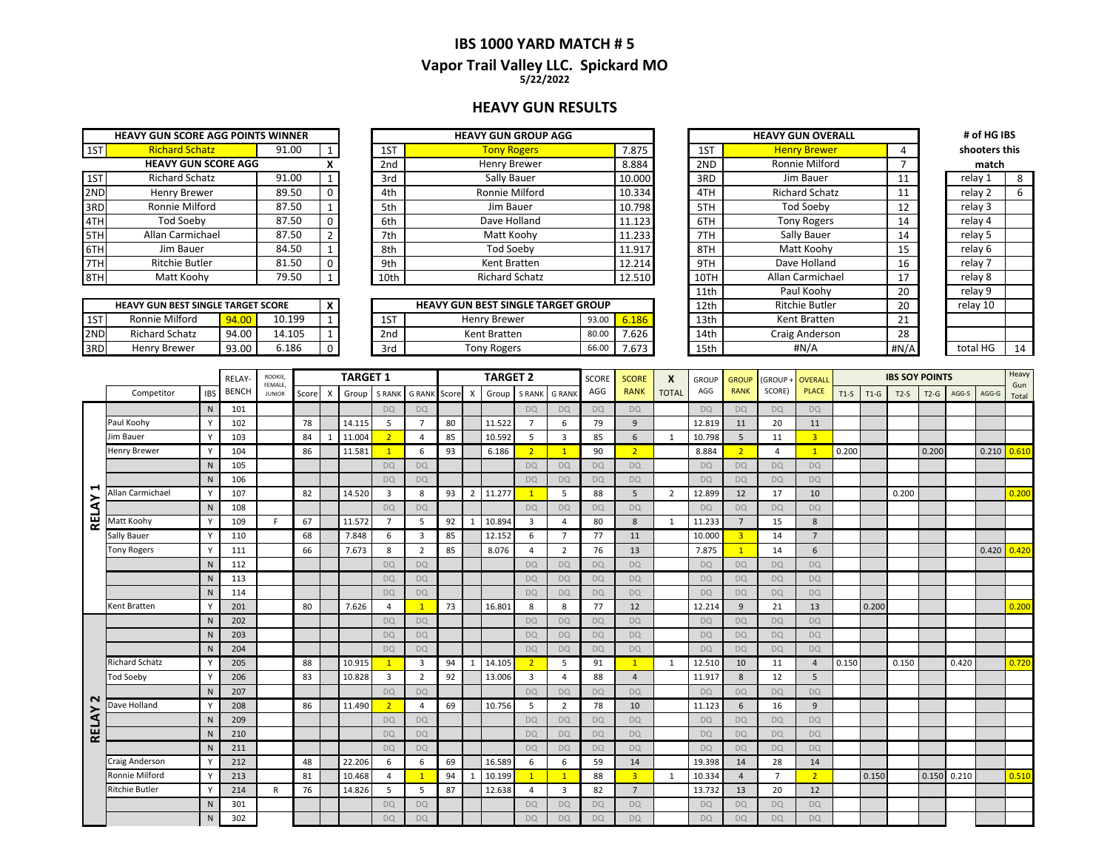#### **IBS 1000 YARD MATCH # 5 Vapor Trail Valley LLC. Spickard MO 5/22/2022**

#### **HEAVY GUN RESULTS**

| <b>HEAVY GUN SCORE AGG POINTS WINNER</b> |                       |       |                |  |  |  |  |  |  |  |  |  |
|------------------------------------------|-----------------------|-------|----------------|--|--|--|--|--|--|--|--|--|
| 1ST                                      | <b>Richard Schatz</b> | 91.00 |                |  |  |  |  |  |  |  |  |  |
| <b>HEAVY GUN SCORE AGG</b><br>x          |                       |       |                |  |  |  |  |  |  |  |  |  |
| 1ST                                      | <b>Richard Schatz</b> | 91.00 | 1              |  |  |  |  |  |  |  |  |  |
| 2ND                                      | Henry Brewer          | 89.50 | O              |  |  |  |  |  |  |  |  |  |
| 3RD                                      | Ronnie Milford        | 87.50 | 1              |  |  |  |  |  |  |  |  |  |
| 4TH                                      | <b>Tod Soeby</b>      | 87.50 | O              |  |  |  |  |  |  |  |  |  |
| 5TH                                      | Allan Carmichael      | 87.50 | $\overline{2}$ |  |  |  |  |  |  |  |  |  |
| 6TH                                      | Jim Bauer             | 84.50 | 1              |  |  |  |  |  |  |  |  |  |
|                                          | <b>Ritchie Butler</b> | 81.50 | n              |  |  |  |  |  |  |  |  |  |
|                                          | Matt Koohy            | 79.50 |                |  |  |  |  |  |  |  |  |  |

|                 | <b>HEAVY GUN BEST SINGLE TARGET SCORE</b> |       |        |  |
|-----------------|-------------------------------------------|-------|--------|--|
| 1ST             | Ronnie Milford                            | 94.00 | 10.199 |  |
| 2 <sub>ND</sub> | <b>Richard Schatz</b>                     | 94.00 | 14.105 |  |
| 3RD.            | Henry Brewer                              | 93.00 | 6.186  |  |

|     | <b>HEAVY GUN SCORE AGG POINTS WINNER</b> |       |          |                 | <b>HEAVY GUN GROUP AGG</b> |        |      | <b>HEAVY GUN OVERALL</b> |    | # of HG IBS   |  |
|-----|------------------------------------------|-------|----------|-----------------|----------------------------|--------|------|--------------------------|----|---------------|--|
| 1ST | <b>Richard Schatz</b>                    | 91.00 |          | 1ST             | <b>Tony Rogers</b>         | 7.875  | 1ST  | <b>Henry Brewer</b>      |    | shooters this |  |
|     | <b>HEAVY GUN SCORE AGG</b>               |       |          | 2 <sub>nd</sub> | Henry Brewer               | 8.884  | 2ND  | Ronnie Milford           |    | match         |  |
| 1ST | Richard Schatz                           | 91.00 |          | 3rd             | Sally Bauer                | 10.000 | 3RD  | Jim Bauer                | 11 | relay 1       |  |
| 2ND | Henry Brewer                             | 89.50 |          | 4th             | Ronnie Milford             | 10.334 | 4TH  | <b>Richard Schatz</b>    | 11 | relay 2       |  |
| 3RD | Ronnie Milford                           | 87.50 |          | 5th             | Jim Bauer                  | 10.798 | 5TH  | <b>Tod Soeby</b>         | 12 | relay 3       |  |
| 4TH | Tod Soebv                                | 87.50 | $\Omega$ | 6th             | Dave Holland               | 11.123 | 6TH  | <b>Tony Rogers</b>       | 14 | relay 4       |  |
| 5TH | Allan Carmichael                         | 87.50 |          | 7th             | Matt Koohy                 | 11.233 | 7TH  | Sally Bauer              | 14 | relay 5       |  |
| 6TH | Jim Bauer                                | 84.50 |          | 8th             | Tod Soeby                  | 11.917 | 8TH  | Matt Koohy               | 15 | relay 6       |  |
| 7TH | <b>Ritchie Butler</b>                    | 81.50 |          | 9th             | Kent Bratten               | 12.214 | 9TH  | Dave Holland             | 16 | relay 7       |  |
| 8TH | Matt Koohy                               | 79.50 |          | 10th            | <b>Richard Schatz</b>      | 12.510 | 10TH | Allan Carmichael         | 17 | relay 8       |  |
|     |                                          |       |          |                 |                            |        |      |                          |    |               |  |

|     | <b>HEAVY GUN BEST SINGLE TARGET SCORE</b> |       |        | <b>HEAVY GUN BEST SINGLE TARGET GROUP</b> |            |                    |       |       | 12th | <b>Ritchie Butler</b> | 20             | relav 10     |          |    |
|-----|-------------------------------------------|-------|--------|-------------------------------------------|------------|--------------------|-------|-------|------|-----------------------|----------------|--------------|----------|----|
| 1ST | Ronnie Milford                            |       | 10.199 |                                           | <b>1ST</b> | Henry Brewer       | 93.00 |       |      | 13th                  | Kent Bratten   | $\mathbf{a}$ |          |    |
| 2ND | hard Schatz                               | 94.00 | 14.105 |                                           | 2nd        | Kent Bratten       | 80.0  | 7.626 |      | 14th                  | Craig Anderson | າວ<br>20     |          |    |
| 3RD | Henry Brewer                              | 93.00 | 5.186  |                                           | 3rd        | <b>Tony Rogers</b> | -- -  | 7.673 |      | 15th                  | #N/A           | #N/A         | total HG | 14 |

| <b>HEAVY GUN GROUP AGG</b>          |       |        |                     | <b>HEAVY GUN OVERALL</b> |               | # of HG IBS |    |
|-------------------------------------|-------|--------|---------------------|--------------------------|---------------|-------------|----|
| <b>Tony Rogers</b><br>7.875         |       | 1ST    | <b>Henry Brewer</b> | 4                        | shooters this |             |    |
| Henry Brewer                        |       | 8.884  | 2ND                 | Ronnie Milford           | 7             | match       |    |
| Sally Bauer                         |       | 10.000 | 3RD                 | Jim Bauer                | 11            | relay 1     | 8  |
| Ronnie Milford                      |       | 10.334 | 4TH                 | <b>Richard Schatz</b>    | 11            | relay 2     | 6  |
| Jim Bauer                           |       | 10.798 | 5TH                 | Tod Soeby                | 12            | relay 3     |    |
| Dave Holland                        |       | 11.123 | 6TH                 | <b>Tony Rogers</b>       | 14            | relay 4     |    |
| Matt Koohy                          |       | 11.233 | 7TH                 | Sally Bauer              | 14            | relay 5     |    |
| Tod Soeby                           |       | 11.917 | 8TH                 | Matt Koohy               | 15            | relay 6     |    |
| Kent Bratten                        |       | 12.214 | 9TH                 | Dave Holland             | 16            | relay 7     |    |
| <b>Richard Schatz</b>               |       | 12.510 | 10TH                | Allan Carmichael         | 17            | relay 8     |    |
|                                     |       |        | 11th                | Paul Koohy               | 20            | relay 9     |    |
| <b>GUN BEST SINGLE TARGET GROUP</b> |       |        | 12 <sub>th</sub>    | <b>Ritchie Butler</b>    | 20            | relay 10    |    |
| Henry Brewer                        | 93.00 | 6.186  | 13 <sub>th</sub>    | Kent Bratten             | 21            |             |    |
| Kent Bratten                        | 80.00 | 7.626  | 14th                | Craig Anderson           | 28            |             |    |
| <b>Tony Rogers</b>                  | 66.00 | 7.673  | 15th                | #N/A                     | #N/A          | total HG    | 14 |

| match    |    |  |  |  |  |  |  |  |  |  |  |
|----------|----|--|--|--|--|--|--|--|--|--|--|
| relay 1  | 8  |  |  |  |  |  |  |  |  |  |  |
| relay 2  | 6  |  |  |  |  |  |  |  |  |  |  |
| relay 3  |    |  |  |  |  |  |  |  |  |  |  |
| relay 4  |    |  |  |  |  |  |  |  |  |  |  |
| relay 5  |    |  |  |  |  |  |  |  |  |  |  |
| relay 6  |    |  |  |  |  |  |  |  |  |  |  |
| relay 7  |    |  |  |  |  |  |  |  |  |  |  |
| relay 8  |    |  |  |  |  |  |  |  |  |  |  |
| relay 9  |    |  |  |  |  |  |  |  |  |  |  |
| relay 10 |    |  |  |  |  |  |  |  |  |  |  |
|          |    |  |  |  |  |  |  |  |  |  |  |
|          |    |  |  |  |  |  |  |  |  |  |  |
| total HG | 14 |  |  |  |  |  |  |  |  |  |  |
|          |    |  |  |  |  |  |  |  |  |  |  |

|              |                       |              | RELAY-       | ROOKIE,                  |       |              | <b>TARGET 1</b> |                         |                         |       | <b>TARGET 2</b> |        | <b>SCORE</b>   | <b>SCORE</b>   | X         | <b>GROUP</b>   | <b>GROUP</b> | (GROUP+   | <b>OVERALL</b>          |                |                         | <b>IBS SOY POINTS</b> |        |        |        | Heavy |       |                 |
|--------------|-----------------------|--------------|--------------|--------------------------|-------|--------------|-----------------|-------------------------|-------------------------|-------|-----------------|--------|----------------|----------------|-----------|----------------|--------------|-----------|-------------------------|----------------|-------------------------|-----------------------|--------|--------|--------|-------|-------|-----------------|
|              | Competitor            | <b>IBS</b>   | <b>BENCH</b> | FEMALE,<br><b>JUNIOR</b> | Score | $\mathsf{x}$ | Group           | S RANK                  | <b>G RANK</b>           | Score | X               | Group  | <b>S RANK</b>  | <b>G RANK</b>  | AGG       | <b>RANK</b>    | <b>TOTAL</b> | AGG       | <b>RANK</b>             | SCORE)         | <b>PLACE</b>            | $T1-S$                | $T1-G$ | $T2-S$ | $T2-G$ | AGG-S | AGG-G | Gun<br>Total    |
|              |                       | N            | 101          |                          |       |              |                 | DQ                      | DQ                      |       |                 |        | <b>DO</b>      | DQ             | <b>DO</b> | DQ             |              | <b>DQ</b> | <b>DQ</b>               | DQ             | DO.                     |                       |        |        |        |       |       |                 |
|              | Paul Koohy            |              | 102          |                          | 78    |              | 14.115          | 5                       | $\overline{7}$          | 80    |                 | 11.522 | $\overline{7}$ | 6              | 79        | 9              |              | 12.819    | 11                      | 20             | 11                      |                       |        |        |        |       |       |                 |
|              | Jim Bauer             | Y            | 103          |                          | 84    |              | 11.004          | 2 <sup>2</sup>          | $\overline{4}$          | 85    |                 | 10.592 | 5              | 3              | 85        | 6              | 1            | 10.798    | 5                       | 11             | $\overline{\mathbf{3}}$ |                       |        |        |        |       |       |                 |
|              | <b>Henry Brewer</b>   | Y            | 104          |                          | 86    |              | 11.581          | $\mathbf{1}$            | 6                       | 93    |                 | 6.186  | $\overline{2}$ | $\mathbf{1}$   | 90        | $\overline{2}$ |              | 8.884     | $\overline{2}$          | 4              | $\mathbf{1}$            | 0.200                 |        |        | 0.200  |       |       | $0.210$ $0.610$ |
|              |                       | N            | 105          |                          |       |              |                 | <b>DQ</b>               | <b>DQ</b>               |       |                 |        | <b>DQ</b>      | <b>DQ</b>      | <b>DQ</b> | <b>DQ</b>      |              | <b>DQ</b> | <b>DQ</b>               | <b>DQ</b>      | <b>DQ</b>               |                       |        |        |        |       |       |                 |
|              |                       | N            | 106          |                          |       |              |                 | <b>DQ</b>               | <b>DO</b>               |       |                 |        | <b>DQ</b>      | DQ             | <b>DQ</b> | <b>DQ</b>      |              | <b>DQ</b> | <b>DQ</b>               | <b>DQ</b>      | <b>DQ</b>               |                       |        |        |        |       |       |                 |
| ⊣            | Allan Carmichael      | <b>V</b>     | 107          |                          | 82    |              | 14.520          | $\overline{\mathbf{3}}$ | 8                       | 93    | $\overline{2}$  | 11.277 | $\mathbf{1}$   | 5              | 88        | 5              | 2            | 12.899    | 12                      | 17             | 10                      |                       |        | 0.200  |        |       |       | 0.200           |
|              |                       | N            | 108          |                          |       |              |                 | <b>DQ</b>               | <b>DQ</b>               |       |                 |        | <b>DO</b>      | DQ             | <b>DQ</b> | <b>DQ</b>      |              | <b>DQ</b> | <b>DQ</b>               | <b>DQ</b>      | <b>DQ</b>               |                       |        |        |        |       |       |                 |
| <b>RELAY</b> | Matt Koohy            | $\vee$       | 109          | F.                       | 67    |              | 11.572          | $\overline{7}$          | 5                       | 92    |                 | 10.894 | $\overline{3}$ | 4              | 80        | 8              | 1            | 11.233    | $\overline{7}$          | 15             | 8                       |                       |        |        |        |       |       |                 |
|              | Sally Bauer           | Y            | 110          |                          | 68    |              | 7.848           | 6                       | $\overline{\mathbf{3}}$ | 85    |                 | 12.152 | 6              | $\overline{7}$ | 77        | 11             |              | 10.000    | $\overline{\mathbf{3}}$ | 14             | $\overline{7}$          |                       |        |        |        |       |       |                 |
|              | <b>Tony Rogers</b>    | V            | 111          |                          | 66    |              | 7.673           | 8                       | $\overline{2}$          | 85    |                 | 8.076  | $\overline{a}$ | $\overline{2}$ | 76        | 13             |              | 7.875     | $\overline{1}$          | 14             | 6                       |                       |        |        |        |       | 0.420 | 0.420           |
|              |                       | N            | 112          |                          |       |              |                 | <b>DQ</b>               | <b>DQ</b>               |       |                 |        | <b>DQ</b>      | <b>DQ</b>      | <b>DQ</b> | <b>DQ</b>      |              | <b>DQ</b> | <b>DQ</b>               | <b>DQ</b>      | <b>DQ</b>               |                       |        |        |        |       |       |                 |
|              |                       | N            | 113          |                          |       |              |                 | <b>DQ</b>               | <b>DO</b>               |       |                 |        | <b>DQ</b>      | DQ             | <b>DQ</b> | <b>DQ</b>      |              | <b>DQ</b> | <b>DQ</b>               | <b>DQ</b>      | <b>DQ</b>               |                       |        |        |        |       |       |                 |
|              |                       | N            | 114          |                          |       |              |                 | <b>DQ</b>               | <b>DO</b>               |       |                 |        | <b>DO</b>      | DQ             | <b>DQ</b> | <b>DQ</b>      |              | <b>DQ</b> | <b>DQ</b>               | <b>DQ</b>      | <b>DQ</b>               |                       |        |        |        |       |       |                 |
|              | Kent Bratten          |              | 201          |                          | 80    |              | 7.626           | $\overline{4}$          | $\overline{1}$          | 73    |                 | 16.801 | 8              | 8              | 77        | 12             |              | 12.214    | 9                       | 21             | 13                      |                       | 0.200  |        |        |       |       | 0.200           |
|              |                       | N            | 202          |                          |       |              |                 | <b>DQ</b>               | <b>DQ</b>               |       |                 |        | <b>DQ</b>      | DQ             | <b>DQ</b> | <b>DO</b>      |              | <b>DQ</b> | <b>DQ</b>               | DQ             | DO.                     |                       |        |        |        |       |       |                 |
|              |                       | N            | 203          |                          |       |              |                 | <b>DO</b>               | <b>DO</b>               |       |                 |        | <b>DQ</b>      | <b>DQ</b>      | <b>DQ</b> | <b>DQ</b>      |              | <b>DQ</b> | <b>DQ</b>               | <b>DQ</b>      | <b>DO</b>               |                       |        |        |        |       |       |                 |
|              |                       | ${\sf N}$    | 204          |                          |       |              |                 | <b>DQ</b>               | <b>DQ</b>               |       |                 |        | <b>DQ</b>      | DQ             | <b>DQ</b> | <b>DQ</b>      |              | <b>DQ</b> | <b>DQ</b>               | <b>DQ</b>      | <b>DQ</b>               |                       |        |        |        |       |       |                 |
|              | <b>Richard Schatz</b> |              | 205          |                          | 88    |              | 10.915          | $\overline{1}$          | $\overline{\mathbf{3}}$ | 94    | $\mathbf 1$     | 14.105 | 2 <sup>2</sup> | 5              | 91        | $\mathbf{1}$   | 1            | 12.510    | 10                      | 11             | $\overline{4}$          | 0.150                 |        | 0.150  |        | 0.420 |       | 0.720           |
|              | <b>Tod Soeby</b>      | $\mathsf{v}$ | 206          |                          | 83    |              | 10.828          | $\overline{3}$          | $\overline{2}$          | 92    |                 | 13.006 | $\overline{3}$ | 4              | 88        | $\overline{4}$ |              | 11.917    | 8                       | 12             | 5                       |                       |        |        |        |       |       |                 |
| $\sim$       |                       | N            | 207          |                          |       |              |                 | <b>DQ</b>               | <b>DQ</b>               |       |                 |        | <b>DO</b>      | DQ             | <b>DQ</b> | <b>DO</b>      |              | <b>DQ</b> | <b>DQ</b>               | <b>DQ</b>      | <b>DQ</b>               |                       |        |        |        |       |       |                 |
|              | Dave Holland          |              | 208          |                          | 86    |              | 11.490          | 2 <sup>2</sup>          | $\overline{4}$          | 69    |                 | 10.756 | 5              | 2              | 78        | 10             |              | 11.123    | 6                       | 16             | 9                       |                       |        |        |        |       |       |                 |
| <b>RELAY</b> |                       | N            | 209          |                          |       |              |                 | <b>DQ</b>               | <b>DO</b>               |       |                 |        | <b>DO</b>      | <b>DQ</b>      | <b>DO</b> | <b>DO</b>      |              | <b>DQ</b> | <b>DQ</b>               | <b>DO</b>      | <b>DO</b>               |                       |        |        |        |       |       |                 |
|              |                       | N            | 210          |                          |       |              |                 | <b>DO</b>               | <b>DO</b>               |       |                 |        | <b>DQ</b>      | <b>DQ</b>      | <b>DQ</b> | <b>DQ</b>      |              | <b>DQ</b> | <b>DO</b>               | <b>DQ</b>      | <b>DO</b>               |                       |        |        |        |       |       |                 |
|              |                       | N            | 211          |                          |       |              |                 | <b>DQ</b>               | <b>DO</b>               |       |                 |        | <b>DO</b>      | DQ             | DQ        | <b>DQ</b>      |              | <b>DQ</b> | <b>DQ</b>               | DQ             | <b>DQ</b>               |                       |        |        |        |       |       |                 |
|              | Craig Anderson        |              | 212          |                          | 48    |              | 22.206          | 6                       | 6                       | 69    |                 | 16.589 | 6              | 6              | 59        | 14             |              | 19.398    | 14                      | 28             | 14                      |                       |        |        |        |       |       |                 |
|              | Ronnie Milford        | $\vee$       | 213          |                          | 81    |              | 10.468          | 4                       | $\overline{1}$          | 94    | $\mathbf{1}$    | 10.199 | $\mathbf{1}$   | $\overline{1}$ | 88        | $\overline{3}$ | 1            | 10.334    | $\overline{4}$          | $\overline{7}$ | $\overline{2}$          |                       | 0.150  |        | 0.150  | 0.210 |       | 0.510           |
|              | <b>Ritchie Butler</b> | $\vee$       | 214          | R                        | 76    |              | 14.826          | 5                       | -5                      | 87    |                 | 12.638 | $\overline{4}$ | 3              | 82        | $\overline{7}$ |              | 13.732    | 13                      | 20             | 12                      |                       |        |        |        |       |       |                 |
|              |                       | N            | 301          |                          |       |              |                 | <b>DQ</b>               | <b>DQ</b>               |       |                 |        | <b>DQ</b>      | DQ             | <b>DQ</b> | <b>DQ</b>      |              | <b>DQ</b> | DQ                      | <b>DQ</b>      | <b>DQ</b>               |                       |        |        |        |       |       |                 |
|              |                       | N            | 302          |                          |       |              |                 | <b>DO</b>               | <b>DQ</b>               |       |                 |        | <b>DQ</b>      | <b>DQ</b>      | <b>DQ</b> | <b>DQ</b>      |              | <b>DQ</b> | <b>DQ</b>               | <b>DQ</b>      | <b>DQ</b>               |                       |        |        |        |       |       |                 |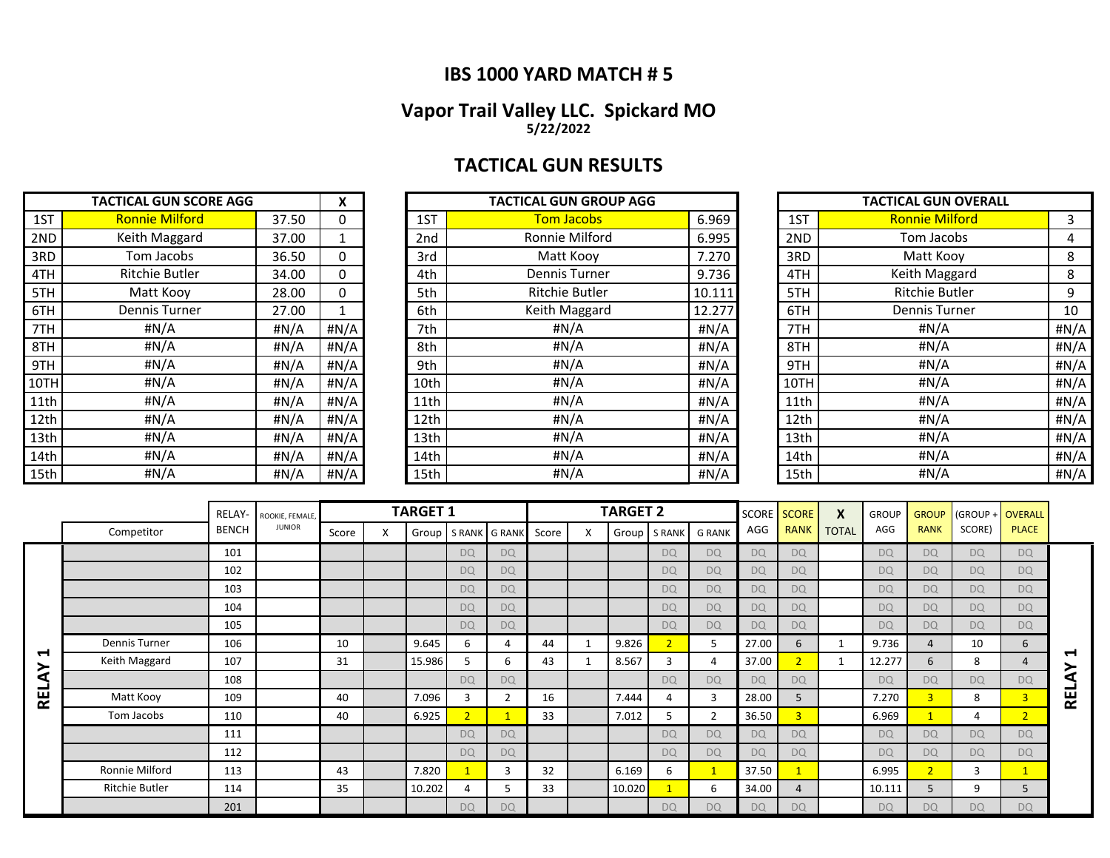### **IBS 1000 YARD MATCH # 5**

#### **Vapor Trail Valley LLC. Spickard MO 5/22/2022**

## **TACTICAL GUN RESULTS**

|      | <b>TACTICAL GUN SCORE AGG</b> |       | X    |      | <b>TACTICAL GUN GROUP AGG</b> |        |      | <b>TACTICAL GUN OVERALL</b> |      |
|------|-------------------------------|-------|------|------|-------------------------------|--------|------|-----------------------------|------|
| 1ST  | <b>Ronnie Milford</b>         | 37.50 | 0    | 1ST  | <b>Tom Jacobs</b>             | 6.969  | 1ST  | <b>Ronnie Milford</b>       | 3    |
| 2ND  | Keith Maggard                 | 37.00 |      | 2nd  | Ronnie Milford                | 6.995  | 2ND  | Tom Jacobs                  | 4    |
| 3RD  | Tom Jacobs                    | 36.50 | 0    | 3rd  | Matt Kooy                     | 7.270  | 3RD  | Matt Kooy                   | 8    |
| 4TH  | Ritchie Butler                | 34.00 | 0    | 4th  | Dennis Turner                 | 9.736  | 4TH  | Keith Maggard               | 8    |
| 5TH  | Matt Kooy                     | 28.00 | 0    | 5th  | <b>Ritchie Butler</b>         | 10.111 | 5TH  | <b>Ritchie Butler</b>       | 9    |
| 6TH  | Dennis Turner                 | 27.00 |      | 6th  | Keith Maggard                 | 12.277 | 6TH  | <b>Dennis Turner</b>        | 10   |
| 7TH  | #N/A                          | #N/A  | #N/A | 7th  | #N/A                          | #N/A   | 7TH  | #N/A                        | #N/A |
| 8TH  | #N/A                          | #N/A  | #N/A | 8th  | #N/A                          | #N/A   | 8TH  | #N/A                        | #N/A |
| 9TH  | # $N/A$                       | #N/A  | #N/A | 9th  | # $N/A$                       | #N/A   | 9TH  | H N/A                       | #N/A |
| 10TH | #N/A                          | #N/A  | #N/A | 10th | #N/A                          | #N/A   | 10TH | #N/A                        | #N/A |
| 11th | #N/A                          | #N/A  | #N/A | 11th | #N/A                          | H N/A  | 11th | #N/A                        | #N/A |
| 12th | #N/A                          | #N/A  | #N/A | 12th | # $N/A$                       | #N/A   | 12th | H N/A                       | #N/A |
| 13th | #N/A                          | #N/A  | #N/A | 13th | #N/A                          | #N/A   | 13th | H N/A                       | #N/A |
| 14th | #N/A                          | #N/A  | #N/A | 14th | #N/A                          | #N/A   | 14th | # $N/A$                     | #N/A |
| 15th | #N/A                          | #N/A  | #N/A | 15th | # $N/A$                       | #N/A   | 15th | # $N/A$                     | #N/A |

| <b>TACTICAL GUN SCORE AGG</b> |                       |       | X       | <b>TACTICAL GUN GROUP AGG</b> |                       |        |  |      | <b>TACTICAL GUN OVERALL</b> |      |
|-------------------------------|-----------------------|-------|---------|-------------------------------|-----------------------|--------|--|------|-----------------------------|------|
| 1ST                           | <b>Ronnie Milford</b> | 37.50 | 0       | 1ST                           | <b>Tom Jacobs</b>     | 6.969  |  | 1ST  | <b>Ronnie Milford</b>       | 3    |
| 2ND                           | Keith Maggard         | 37.00 |         | 2nd                           | Ronnie Milford        | 6.995  |  | 2ND  | Tom Jacobs                  | 4    |
| 3RD                           | Tom Jacobs            | 36.50 | 0       | 3rd                           | Matt Kooy             | 7.270  |  | 3RD  | Matt Kooy                   | 8    |
| 4TH                           | <b>Ritchie Butler</b> | 34.00 | 0       | 4th                           | Dennis Turner         | 9.736  |  | 4TH  | Keith Maggard               | 8    |
| 5TH                           | Matt Kooy             | 28.00 | 0       | 5th                           | <b>Ritchie Butler</b> | 10.111 |  | 5TH  | <b>Ritchie Butler</b>       | 9    |
| 6TH                           | Dennis Turner         | 27.00 |         | 6th                           | Keith Maggard         | 12.277 |  | 6TH  | <b>Dennis Turner</b>        | 10   |
| 7TH                           | #N/A                  | #N/A  | #N/A    | 7th                           | #N/A                  | #N/A   |  | 7TH  | #N/A                        | #N/A |
| 8TH                           | #N/A                  | #N/A  | # $N/A$ | 8th                           | #N/A                  | #N/A   |  | 8TH  | #N/A                        | #N/A |
| 9TH                           | #N/A                  | #N/A  | #N/A    | 9th                           | #N/A                  | #N/A   |  | 9TH  | #N/A                        | #N/A |
| 10TH                          | #N/A                  | #N/A  | #N/A    | 10th                          | #N/A                  | H N/A  |  | 10TH | #N/A                        | #N/A |
| 11th                          | #N/A                  | #N/A  | # $N/A$ | 11th                          | #N/A                  | #N/A   |  | 11th | #N/A                        | #N/A |
| 12th                          | #N/A                  | #N/A  | #N/A    | 12th                          | #N/A                  | #N/A   |  | 12th | #N/A                        | #N/A |
| 13th                          | #N/A                  | #N/A  | # $N/A$ | 13th                          | #N/A                  | #N/A   |  | 13th | #N/A                        | #N/A |
| 14th                          | #N/A                  | #N/A  | # $N/A$ | 14th                          | #N/A                  | #N/A   |  | 14th | #N/A                        | #N/A |
| 15th                          | #N/A                  | #N/A  | #N/A    | 15th                          | #N/A                  | #N/A   |  | 15th | #N/A                        | #N/A |

| <b>TACTICAL GUN OVERALL</b> |                       |      |  |  |  |  |  |  |  |
|-----------------------------|-----------------------|------|--|--|--|--|--|--|--|
| 1ST                         | <b>Ronnie Milford</b> | 3    |  |  |  |  |  |  |  |
| 2ND                         | Tom Jacobs            | 4    |  |  |  |  |  |  |  |
| 3RD                         | Matt Kooy             | 8    |  |  |  |  |  |  |  |
| 4TH                         | Keith Maggard         | 8    |  |  |  |  |  |  |  |
| 5TH                         | <b>Ritchie Butler</b> | 9    |  |  |  |  |  |  |  |
| 6TH                         | <b>Dennis Turner</b>  | 10   |  |  |  |  |  |  |  |
| 7TH                         | #N/A                  | #N/A |  |  |  |  |  |  |  |
| 8TH                         | #N/A                  | #N/A |  |  |  |  |  |  |  |
| 9TH                         | #N/A                  | #N/A |  |  |  |  |  |  |  |
| 10TH                        | #N/A                  | #N/A |  |  |  |  |  |  |  |
| 11th                        | #N/A                  | #N/A |  |  |  |  |  |  |  |
| 12th                        | #N/A                  | #N/A |  |  |  |  |  |  |  |
| 13th                        | #N/A                  | #N/A |  |  |  |  |  |  |  |
| 14th                        | #N/A                  | #N/A |  |  |  |  |  |  |  |
| 15th                        | #N/A                  | #N/A |  |  |  |  |  |  |  |

|                            |                       | RELAY-       | ROOKIE, FEMALE. |       |   | <b>TARGET 1</b> |                |               |       | <b>TARGET 2</b> |                |                | SCORE     | <b>SCORE</b>   | $\boldsymbol{\mathsf{x}}$ | <b>GROUP</b>   | <b>GROUP</b>   | (GROUP +  | <b>OVERALL</b> |                          |
|----------------------------|-----------------------|--------------|-----------------|-------|---|-----------------|----------------|---------------|-------|-----------------|----------------|----------------|-----------|----------------|---------------------------|----------------|----------------|-----------|----------------|--------------------------|
|                            | Competitor            | <b>BENCH</b> | <b>JUNIOR</b>   | Score | X | Group           |                | S RANK G RANK | Score |                 | Group   S RANK | <b>G RANK</b>  | AGG       | <b>RANK</b>    | <b>TOTAL</b>              | AGG            | <b>RANK</b>    | SCORE)    | <b>PLACE</b>   |                          |
|                            |                       | 101          |                 |       |   |                 | <b>DQ</b>      | <b>DQ</b>     |       |                 | <b>DQ</b>      | <b>DQ</b>      | <b>DQ</b> | <b>DQ</b>      |                           | D <sub>Q</sub> | <b>DQ</b>      | <b>DQ</b> | <b>DQ</b>      |                          |
|                            |                       | 102          |                 |       |   |                 | <b>DQ</b>      | <b>DQ</b>     |       |                 | <b>DQ</b>      | <b>DQ</b>      | <b>DQ</b> | <b>DQ</b>      |                           | <b>DQ</b>      | <b>DQ</b>      | <b>DQ</b> | <b>DQ</b>      |                          |
|                            |                       | 103          |                 |       |   |                 | <b>DQ</b>      | <b>DQ</b>     |       |                 | <b>DQ</b>      | <b>DQ</b>      | <b>DQ</b> | <b>DQ</b>      |                           | <b>DQ</b>      | <b>DQ</b>      | <b>DQ</b> | <b>DQ</b>      |                          |
|                            |                       | 104          |                 |       |   |                 | <b>DQ</b>      | <b>DQ</b>     |       |                 | <b>DQ</b>      | <b>DQ</b>      | <b>DQ</b> | <b>DQ</b>      |                           | <b>DQ</b>      | <b>DQ</b>      | <b>DQ</b> | <b>DQ</b>      |                          |
|                            |                       | 105          |                 |       |   |                 | <b>DQ</b>      | <b>DQ</b>     |       |                 | <b>DQ</b>      | <b>DQ</b>      | <b>DQ</b> | <b>DQ</b>      |                           | <b>DQ</b>      | <b>DQ</b>      | <b>DQ</b> | <b>DQ</b>      |                          |
|                            | <b>Dennis Turner</b>  | 106          |                 | 10    |   | 9.645           | 6              | Δ             | 44    | 9.826           | $\sqrt{2}$     | 5              | 27.00     | 6              |                           | 9.736          | 4              | 10        | 6              |                          |
| $\blacktriangleright$<br>≻ | Keith Maggard         | 107          |                 | 31    |   | 15.986          | 5              | 6             | 43    | 8.567           | 3              | 4              | 37.00     | $\overline{2}$ |                           | 12.277         | 6              | 8         | 4              | $\overline{\phantom{0}}$ |
| đ                          |                       | 108          |                 |       |   |                 | <b>DQ</b>      | <b>DQ</b>     |       |                 | <b>DQ</b>      | <b>DQ</b>      | <b>DQ</b> | <b>DQ</b>      |                           | <b>DQ</b>      | <b>DQ</b>      | <b>DQ</b> | <b>DQ</b>      | $\tilde{\mathbf{z}}$     |
| $\mathbf{R}$               | Matt Kooy             | 109          |                 | 40    |   | 7.096           | 3              | $\mathcal{P}$ | 16    | 7.444           |                | $\overline{3}$ | 28.00     | 5              |                           | 7.270          | 3 <sup>1</sup> | 8         | $\overline{3}$ | <b>REL</b>               |
|                            | Tom Jacobs            | 110          |                 | 40    |   | 6.925           | $\overline{2}$ |               | 33    | 7.012           | ּ              |                | 36.50     | 3              |                           | 6.969          |                | 4         | $\overline{2}$ |                          |
|                            |                       | 111          |                 |       |   |                 | <b>DQ</b>      | <b>DQ</b>     |       |                 | <b>DQ</b>      | <b>DQ</b>      | <b>DQ</b> | <b>DO</b>      |                           | <b>DQ</b>      | DQ             | <b>DQ</b> | <b>DQ</b>      |                          |
|                            |                       | 112          |                 |       |   |                 | <b>DQ</b>      | <b>DQ</b>     |       |                 | <b>DQ</b>      | <b>DQ</b>      | <b>DQ</b> | <b>DQ</b>      |                           | <b>DQ</b>      | <b>DQ</b>      | <b>DQ</b> | <b>DQ</b>      |                          |
|                            | Ronnie Milford        | 113          |                 | 43    |   | 7.820           |                | 3             | 32    | 6.169           | 6              | 1              | 37.50     |                |                           | 6.995          | $\overline{2}$ | 3         |                |                          |
|                            | <b>Ritchie Butler</b> | 114          |                 | 35    |   | 10.202          | 4              | 5             | 33    | 10.020          |                | 6              | 34.00     | 4              |                           | 10.111         | 5              | 9         | 5              |                          |
|                            |                       | 201          |                 |       |   |                 | <b>DQ</b>      | <b>DQ</b>     |       |                 | <b>DQ</b>      | <b>DQ</b>      | <b>DQ</b> | <b>DQ</b>      |                           | <b>DQ</b>      | <b>DQ</b>      | <b>DQ</b> | <b>DQ</b>      |                          |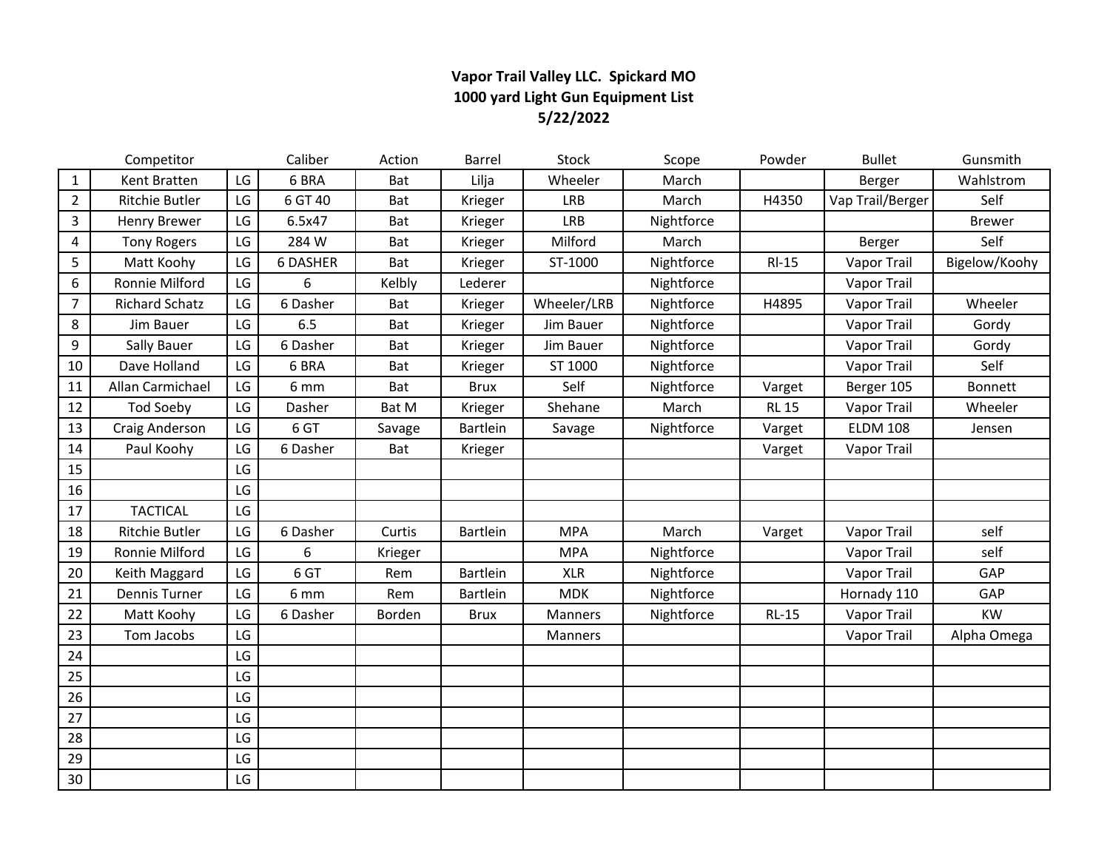### **Vapor Trail Valley LLC. Spickard MO 1000 yard Light Gun Equipment List 5/22/2022**

|                | Competitor            |    | Caliber         | Action  | Barrel          | <b>Stock</b> | Scope      | Powder       | <b>Bullet</b>      | Gunsmith      |
|----------------|-----------------------|----|-----------------|---------|-----------------|--------------|------------|--------------|--------------------|---------------|
| $\mathbf{1}$   | Kent Bratten          | LG | 6 BRA           | Bat     | Lilja           | Wheeler      | March      |              | Berger             | Wahlstrom     |
| $\overline{2}$ | Ritchie Butler        | LG | 6 GT 40         | Bat     | Krieger         | <b>LRB</b>   | March      | H4350        | Vap Trail/Berger   | Self          |
| $\overline{3}$ | <b>Henry Brewer</b>   | LG | 6.5x47          | Bat     | Krieger         | <b>LRB</b>   | Nightforce |              |                    | Brewer        |
| 4              | <b>Tony Rogers</b>    | LG | 284 W           | Bat     | Krieger         | Milford      | March      |              | Berger             | Self          |
| 5              | Matt Koohy            | LG | <b>6 DASHER</b> | Bat     | Krieger         | ST-1000      | Nightforce | $RI-15$      | Vapor Trail        | Bigelow/Koohy |
| 6              | Ronnie Milford        | LG | 6               | Kelbly  | Lederer         |              | Nightforce |              | Vapor Trail        |               |
| $\overline{7}$ | <b>Richard Schatz</b> | LG | 6 Dasher        | Bat     | Krieger         | Wheeler/LRB  | Nightforce | H4895        | Vapor Trail        | Wheeler       |
| $\,8\,$        | Jim Bauer             | LG | 6.5             | Bat     | Krieger         | Jim Bauer    | Nightforce |              | Vapor Trail        | Gordy         |
| 9              | Sally Bauer           | LG | 6 Dasher        | Bat     | Krieger         | Jim Bauer    | Nightforce |              | Vapor Trail        | Gordy         |
| 10             | Dave Holland          | LG | 6 BRA           | Bat     | Krieger         | ST 1000      | Nightforce |              | Vapor Trail        | Self          |
| 11             | Allan Carmichael      | LG | 6 mm            | Bat     | <b>Brux</b>     | Self         | Nightforce | Varget       | Berger 105         | Bonnett       |
| 12             | <b>Tod Soeby</b>      | LG | Dasher          | Bat M   | Krieger         | Shehane      | March      | <b>RL 15</b> | Vapor Trail        | Wheeler       |
| 13             | Craig Anderson        | LG | 6 GT            | Savage  | <b>Bartlein</b> | Savage       | Nightforce | Varget       | <b>ELDM 108</b>    | Jensen        |
| 14             | Paul Koohy            | LG | 6 Dasher        | Bat     | Krieger         |              |            | Varget       | Vapor Trail        |               |
| 15             |                       | LG |                 |         |                 |              |            |              |                    |               |
| 16             |                       | LG |                 |         |                 |              |            |              |                    |               |
| 17             | <b>TACTICAL</b>       | LG |                 |         |                 |              |            |              |                    |               |
| 18             | Ritchie Butler        | LG | 6 Dasher        | Curtis  | Bartlein        | <b>MPA</b>   | March      | Varget       | <b>Vapor Trail</b> | self          |
| 19             | Ronnie Milford        | LG | 6               | Krieger |                 | <b>MPA</b>   | Nightforce |              | <b>Vapor Trail</b> | self          |
| 20             | Keith Maggard         | LG | 6 GT            | Rem     | Bartlein        | <b>XLR</b>   | Nightforce |              | Vapor Trail        | GAP           |
| 21             | <b>Dennis Turner</b>  | LG | 6 mm            | Rem     | Bartlein        | <b>MDK</b>   | Nightforce |              | Hornady 110        | GAP           |
| 22             | Matt Koohy            | LG | 6 Dasher        | Borden  | <b>Brux</b>     | Manners      | Nightforce | $RL-15$      | Vapor Trail        | <b>KW</b>     |
| 23             | Tom Jacobs            | LG |                 |         |                 | Manners      |            |              | Vapor Trail        | Alpha Omega   |
| 24             |                       | LG |                 |         |                 |              |            |              |                    |               |
| 25             |                       | LG |                 |         |                 |              |            |              |                    |               |
| 26             |                       | LG |                 |         |                 |              |            |              |                    |               |
| 27             |                       | LG |                 |         |                 |              |            |              |                    |               |
| 28             |                       | LG |                 |         |                 |              |            |              |                    |               |
| 29             |                       | LG |                 |         |                 |              |            |              |                    |               |
| 30             |                       | LG |                 |         |                 |              |            |              |                    |               |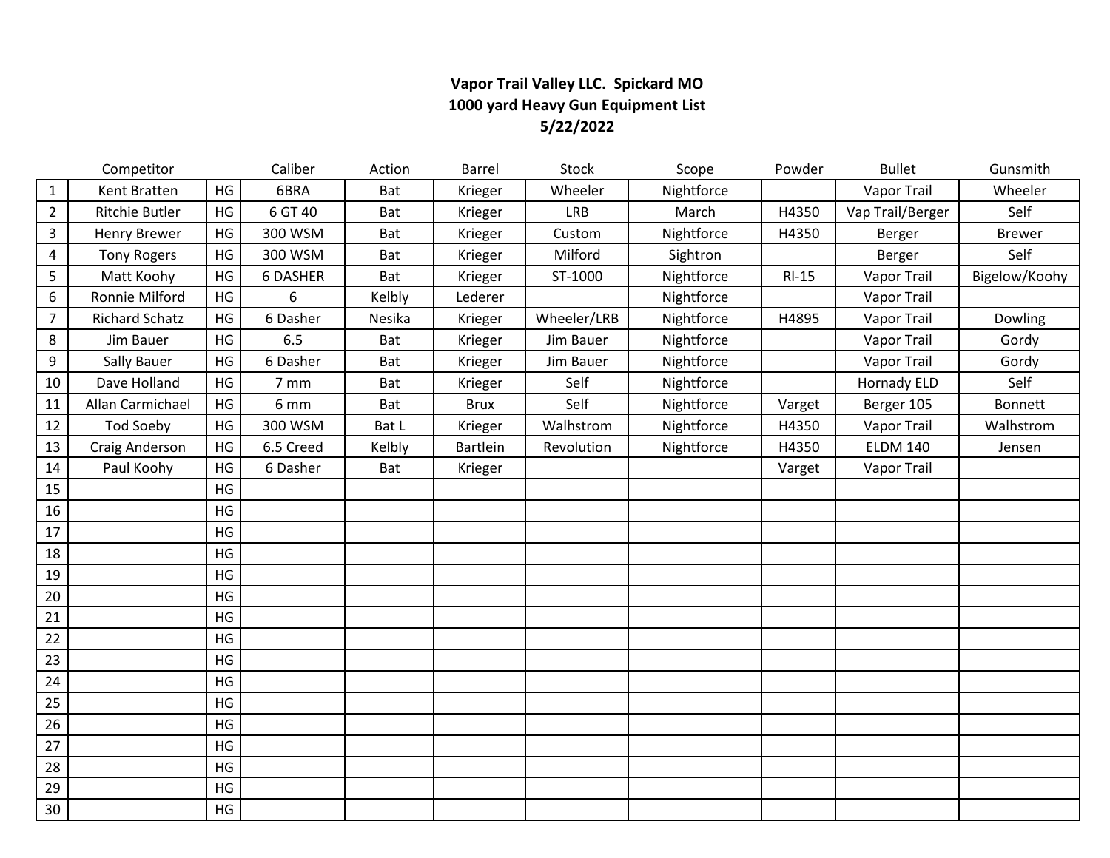### **Vapor Trail Valley LLC. Spickard MO 1000 yard Heavy Gun Equipment List 5/22/2022**

|                | Competitor            |    | Caliber   | Action | Barrel      | Stock       | Scope      | Powder  | <b>Bullet</b>      | Gunsmith      |
|----------------|-----------------------|----|-----------|--------|-------------|-------------|------------|---------|--------------------|---------------|
| $\mathbf{1}$   | Kent Bratten          | HG | 6BRA      | Bat    | Krieger     | Wheeler     | Nightforce |         | <b>Vapor Trail</b> | Wheeler       |
| $\overline{2}$ | <b>Ritchie Butler</b> | HG | 6 GT 40   | Bat    | Krieger     | <b>LRB</b>  | March      | H4350   | Vap Trail/Berger   | Self          |
| 3              | <b>Henry Brewer</b>   | HG | 300 WSM   | Bat    | Krieger     | Custom      | Nightforce | H4350   | Berger             | <b>Brewer</b> |
| 4              | <b>Tony Rogers</b>    | HG | 300 WSM   | Bat    | Krieger     | Milford     | Sightron   |         | Berger             | Self          |
| 5              | Matt Koohy            | HG | 6 DASHER  | Bat    | Krieger     | ST-1000     | Nightforce | $RI-15$ | Vapor Trail        | Bigelow/Koohy |
| 6              | Ronnie Milford        | HG | 6         | Kelbly | Lederer     |             | Nightforce |         | Vapor Trail        |               |
| $\overline{7}$ | <b>Richard Schatz</b> | HG | 6 Dasher  | Nesika | Krieger     | Wheeler/LRB | Nightforce | H4895   | Vapor Trail        | Dowling       |
| 8              | Jim Bauer             | HG | 6.5       | Bat    | Krieger     | Jim Bauer   | Nightforce |         | Vapor Trail        | Gordy         |
| 9              | <b>Sally Bauer</b>    | HG | 6 Dasher  | Bat    | Krieger     | Jim Bauer   | Nightforce |         | Vapor Trail        | Gordy         |
| 10             | Dave Holland          | HG | 7 mm      | Bat    | Krieger     | Self        | Nightforce |         | <b>Hornady ELD</b> | Self          |
| 11             | Allan Carmichael      | HG | 6 mm      | Bat    | <b>Brux</b> | Self        | Nightforce | Varget  | Berger 105         | Bonnett       |
| 12             | <b>Tod Soeby</b>      | HG | 300 WSM   | Bat L  | Krieger     | Walhstrom   | Nightforce | H4350   | Vapor Trail        | Walhstrom     |
| 13             | Craig Anderson        | HG | 6.5 Creed | Kelbly | Bartlein    | Revolution  | Nightforce | H4350   | <b>ELDM 140</b>    | Jensen        |
| 14             | Paul Koohy            | HG | 6 Dasher  | Bat    | Krieger     |             |            | Varget  | Vapor Trail        |               |
| 15             |                       | HG |           |        |             |             |            |         |                    |               |
| 16             |                       | HG |           |        |             |             |            |         |                    |               |
| 17             |                       | HG |           |        |             |             |            |         |                    |               |
| 18             |                       | HG |           |        |             |             |            |         |                    |               |
| 19             |                       | HG |           |        |             |             |            |         |                    |               |
| 20             |                       | HG |           |        |             |             |            |         |                    |               |
| 21             |                       | HG |           |        |             |             |            |         |                    |               |
| 22             |                       | HG |           |        |             |             |            |         |                    |               |
| 23             |                       | HG |           |        |             |             |            |         |                    |               |
| 24             |                       | HG |           |        |             |             |            |         |                    |               |
| 25             |                       | HG |           |        |             |             |            |         |                    |               |
| 26             |                       | HG |           |        |             |             |            |         |                    |               |
| 27             |                       | HG |           |        |             |             |            |         |                    |               |
| 28             |                       | HG |           |        |             |             |            |         |                    |               |
| 29             |                       | HG |           |        |             |             |            |         |                    |               |
| 30             |                       | HG |           |        |             |             |            |         |                    |               |